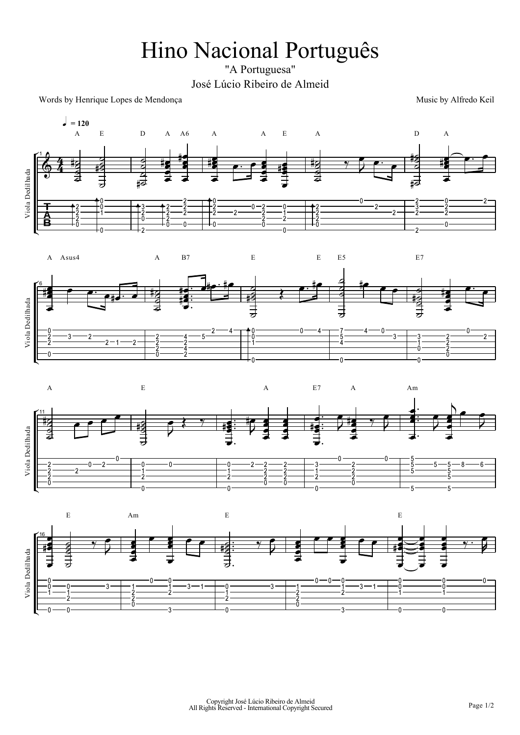## Hino Nacional Português

"A Portuguesa" José Lúcio Ribeiro de Almeid

Words by Henrique Lopes de Mendonça

Music by Alfredo Keil